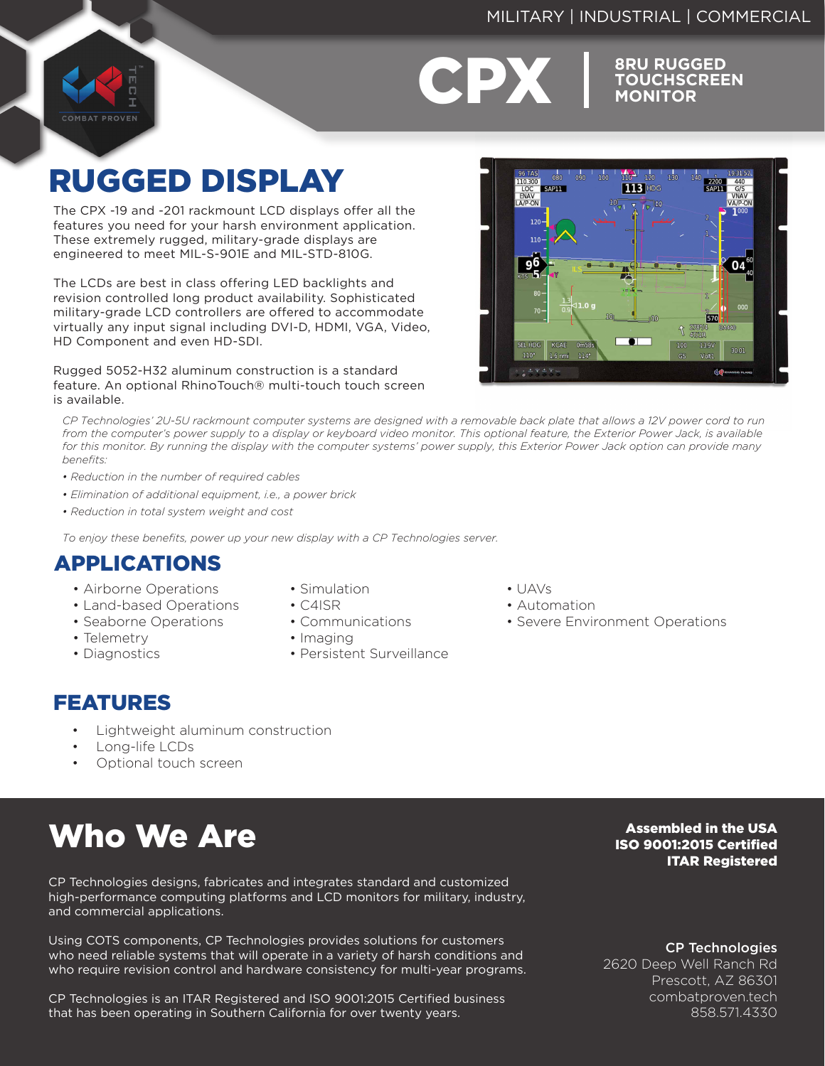#### MILITARY | INDUSTRIAL | COMMERCIAL



**CPX** BRU RUGGED

**TOUCHSCREEN MONITOR**

## RUGGED DISPLAY

The CPX -19 and -201 rackmount LCD displays offer all the features you need for your harsh environment application. These extremely rugged, military-grade displays are engineered to meet MIL-S-901E and MIL-STD-810G.

The LCDs are best in class offering LED backlights and revision controlled long product availability. Sophisticated military-grade LCD controllers are offered to accommodate virtually any input signal including DVI-D, HDMI, VGA, Video, HD Component and even HD-SDI.

Rugged 5052-H32 aluminum construction is a standard feature. An optional RhinoTouch® multi-touch touch screen is available.

*CP Technologies' 2U-5U rackmount computer systems are designed with a removable back plate that allows a 12V power cord to run from the computer's power supply to a display or keyboard video monitor. This optional feature, the Exterior Power Jack, is available for this monitor. By running the display with the computer systems' power supply, this Exterior Power Jack option can provide many benefits:*

- *Reduction in the number of required cables*
- *Elimination of additional equipment, i.e., a power brick*
- *Reduction in total system weight and cost*

*To enjoy these benefits, power up your new display with a CP Technologies server.*

## APPLICATIONS

- Airborne Operations
- Land-based Operations
- Seaborne Operations
- Telemetry
- Diagnostics

• Simulation

• Communications

• Persistent Surveillance

• C4ISR

• Imaging

- $\cdot$  UAVs
- Automation
- Severe Environment Operations

### FEATURES

- Lightweight aluminum construction
- Long-life LCDs
- Optional touch screen



CP Technologies designs, fabricates and integrates standard and customized high-performance computing platforms and LCD monitors for military, industry, and commercial applications.

Using COTS components, CP Technologies provides solutions for customers who need reliable systems that will operate in a variety of harsh conditions and who require revision control and hardware consistency for multi-year programs.

CP Technologies is an ITAR Registered and ISO 9001:2015 Certified business that has been operating in Southern California for over twenty years.

Assembled in the USA ISO 9001:2015 Certified ITAR Registered

#### CP Technologies

2620 Deep Well Ranch Rd Prescott, AZ 86301 combatproven.tech 858.571.4330

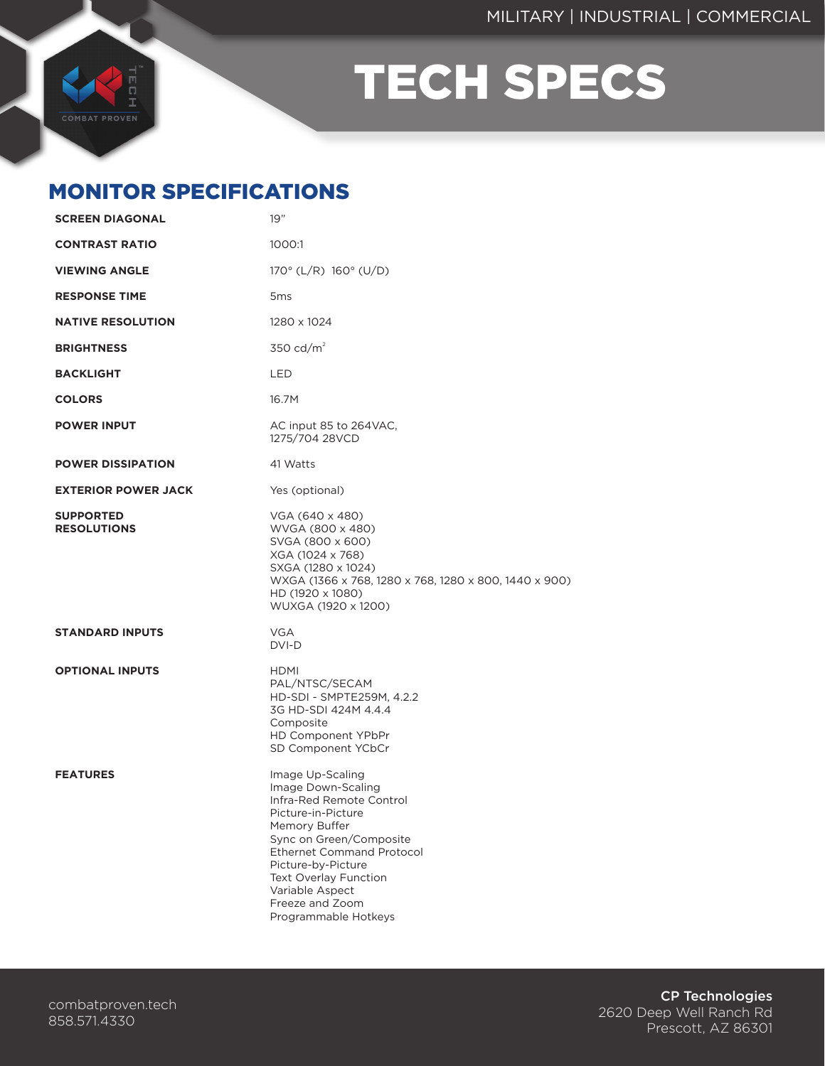

# TECH SPECS

## MONITOR SPECIFICATIONS

| <b>SCREEN DIAGONAL</b>                 | 19"                                                                                                                                                                                                                                                                                          |
|----------------------------------------|----------------------------------------------------------------------------------------------------------------------------------------------------------------------------------------------------------------------------------------------------------------------------------------------|
| <b>CONTRAST RATIO</b>                  | 1000:1                                                                                                                                                                                                                                                                                       |
| <b>VIEWING ANGLE</b>                   | 170° (L/R) 160° (U/D)                                                                                                                                                                                                                                                                        |
| <b>RESPONSE TIME</b>                   | 5 <sub>ms</sub>                                                                                                                                                                                                                                                                              |
| <b>NATIVE RESOLUTION</b>               | 1280 x 1024                                                                                                                                                                                                                                                                                  |
| <b>BRIGHTNESS</b>                      | 350 $cd/m2$                                                                                                                                                                                                                                                                                  |
| <b>BACKLIGHT</b>                       | <b>LED</b>                                                                                                                                                                                                                                                                                   |
| <b>COLORS</b>                          | 16.7M                                                                                                                                                                                                                                                                                        |
| <b>POWER INPUT</b>                     | AC input 85 to 264VAC,<br>1275/704 28VCD                                                                                                                                                                                                                                                     |
| <b>POWER DISSIPATION</b>               | 41 Watts                                                                                                                                                                                                                                                                                     |
| <b>EXTERIOR POWER JACK</b>             | Yes (optional)                                                                                                                                                                                                                                                                               |
| <b>SUPPORTED</b><br><b>RESOLUTIONS</b> | VGA (640 x 480)<br>WVGA (800 x 480)<br>SVGA (800 x 600)<br>XGA (1024 x 768)<br>SXGA (1280 x 1024)<br>WXGA (1366 x 768, 1280 x 768, 1280 x 800, 1440 x 900)<br>HD (1920 x 1080)<br>WUXGA (1920 x 1200)                                                                                        |
| <b>STANDARD INPUTS</b>                 | <b>VGA</b><br>$DVI-D$                                                                                                                                                                                                                                                                        |
| <b>OPTIONAL INPUTS</b>                 | <b>HDMI</b><br>PAL/NTSC/SECAM<br>HD-SDI - SMPTE259M, 4.2.2<br>3G HD-SDI 424M 4.4.4<br>Composite<br>HD Component YPbPr<br>SD Component YCbCr                                                                                                                                                  |
| <b>FEATURES</b>                        | Image Up-Scaling<br>Image Down-Scaling<br>Infra-Red Remote Control<br>Picture-in-Picture<br>Memory Buffer<br>Sync on Green/Composite<br><b>Ethernet Command Protocol</b><br>Picture-by-Picture<br><b>Text Overlay Function</b><br>Variable Aspect<br>Freeze and Zoom<br>Programmable Hotkeys |

CP Technologies 2620 Deep Well Ranch Rd Prescott, AZ 86301